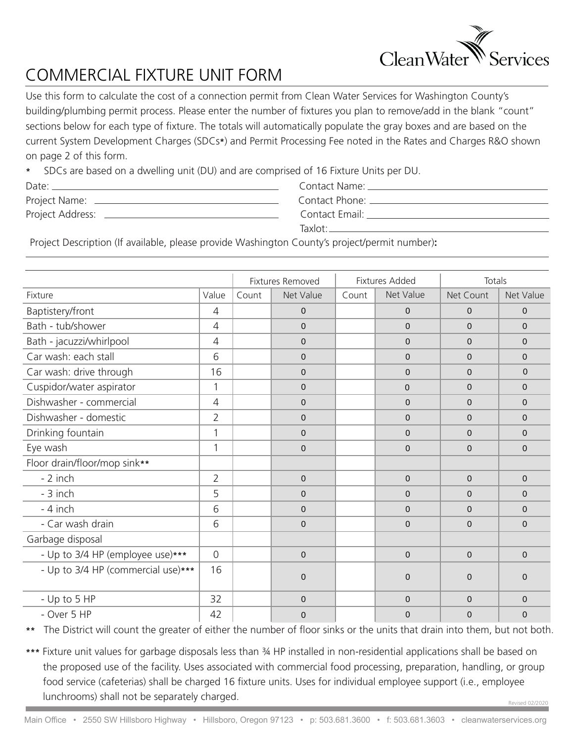

## COMMERCIAL FIXTURE UNIT FORM

Use this form to calculate the cost of a connection permit from Clean Water Services for Washington County's building/plumbing permit process. Please enter the number of fixtures you plan to remove/add in the blank "count" sections below for each type of fixture. The totals will automatically populate the gray boxes and are based on the current System Development Charges (SDCs**\***) and Permit Processing Fee noted in the Rates and Charges R&O shown on page 2 of this form.

**\*** SDCs are based on a dwelling unit (DU) and are comprised of 16 Fixture Units per DU.

| Date:            |  |
|------------------|--|
| Project Name:    |  |
| Project Address: |  |

Contact Name: Contact Phone: Contact Email: Taxlot:

Project Description (If available, please provide Washington County's project/permit number)**:**

|                                    |                | Fixtures Removed |                | <b>Fixtures Added</b> |                | Totals         |                |
|------------------------------------|----------------|------------------|----------------|-----------------------|----------------|----------------|----------------|
| Fixture                            | Value          | Count            | Net Value      | Count                 | Net Value      | Net Count      | Net Value      |
| Baptistery/front                   | $\overline{4}$ |                  | $\mathbf 0$    |                       | $\overline{0}$ | $\Omega$       | $\Omega$       |
| Bath - tub/shower                  | $\overline{4}$ |                  | $\Omega$       |                       | $\mathbf 0$    | $\Omega$       | $\Omega$       |
| Bath - jacuzzi/whirlpool           | $\overline{4}$ |                  | $\Omega$       |                       | $\mathbf 0$    | $\Omega$       | $\Omega$       |
| Car wash: each stall               | 6              |                  | $\overline{0}$ |                       | 0              | $\Omega$       | $\Omega$       |
| Car wash: drive through            | 16             |                  | $\overline{0}$ |                       | 0              | $\Omega$       | $\Omega$       |
| Cuspidor/water aspirator           | 1              |                  | $\overline{0}$ |                       | $\mathbf{0}$   | $\Omega$       | $\Omega$       |
| Dishwasher - commercial            | $\overline{4}$ |                  | $\mathbf 0$    |                       | $\mathbf 0$    | $\Omega$       | $\Omega$       |
| Dishwasher - domestic              | $\overline{2}$ |                  | $\mathbf 0$    |                       | $\mathbf{0}$   | $\Omega$       | $\Omega$       |
| Drinking fountain                  | 1              |                  | $\Omega$       |                       | $\Omega$       | $\Omega$       | $\Omega$       |
| Eye wash                           | 1              |                  | $\overline{0}$ |                       | 0              | $\Omega$       | $\mathbf{0}$   |
| Floor drain/floor/mop sink**       |                |                  |                |                       |                |                |                |
| - 2 inch                           | $\overline{2}$ |                  | $\mathbf{0}$   |                       | 0              | $\mathbf{0}$   | $\mathbf{0}$   |
| - 3 inch                           | 5              |                  | $\Omega$       |                       | $\mathbf 0$    | $\Omega$       | 0              |
| - 4 inch                           | 6              |                  | $\Omega$       |                       | $\mathbf 0$    | $\Omega$       | $\Omega$       |
| - Car wash drain                   | 6              |                  | $\pmb{0}$      |                       | 0              | $\overline{0}$ | $\mathbf{0}$   |
| Garbage disposal                   |                |                  |                |                       |                |                |                |
| - Up to 3/4 HP (employee use)***   | $\Omega$       |                  | $\overline{0}$ |                       | $\mathbf 0$    | $\mathbf{0}$   | $\mathbf{0}$   |
| - Up to 3/4 HP (commercial use)*** | 16             |                  | $\Omega$       |                       | $\mathbf 0$    | $\Omega$       | 0              |
| - Up to 5 HP                       | 32             |                  | $\overline{0}$ |                       | $\mathbf{0}$   | $\Omega$       | $\Omega$       |
| - Over 5 HP                        | 42             |                  | $\Omega$       |                       | $\mathbf 0$    | $\overline{0}$ | $\overline{0}$ |

**\*\*** The District will count the greater of either the number of floor sinks or the units that drain into them, but not both.

Revised 02/2020 **\*\*\*** Fixture unit values for garbage disposals less than ¾ HP installed in non-residential applications shall be based on the proposed use of the facility. Uses associated with commercial food processing, preparation, handling, or group food service (cafeterias) shall be charged 16 fixture units. Uses for individual employee support (i.e., employee lunchrooms) shall not be separately charged.